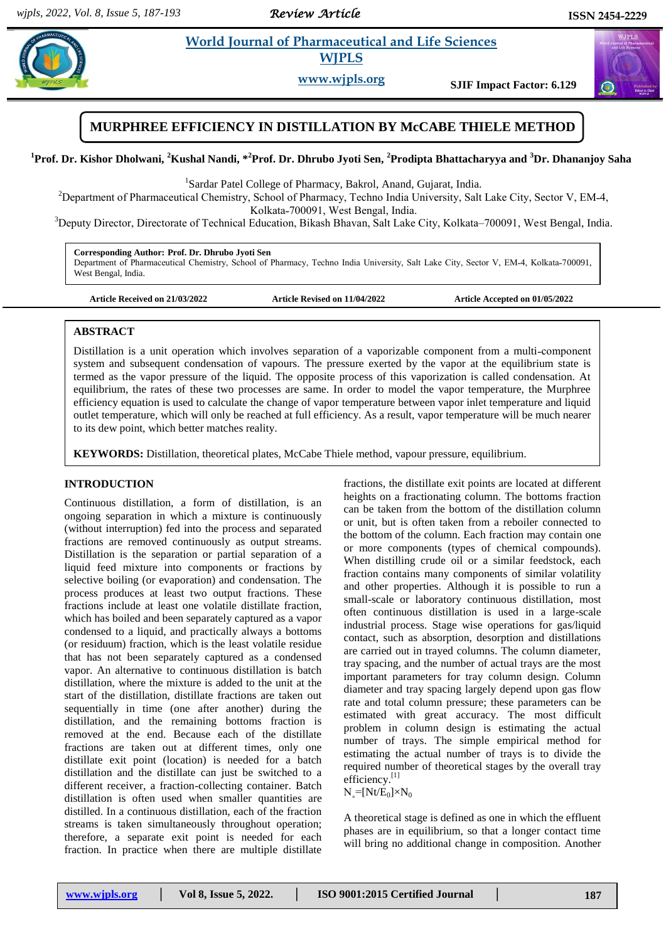*Review Article* 

# **Example 3** *E**World Journal of Pharmaceutical and Life Sciences* **<b>***Reserves* **WJPLS**

**www.wjpls.org SJIF Impact Factor: 6.129**



**<sup>1</sup>Prof. Dr. Kishor Dholwani, <sup>2</sup>Kushal Nandi, \*<sup>2</sup>Prof. Dr. Dhrubo Jyoti Sen, <sup>2</sup>Prodipta Bhattacharyya and <sup>3</sup>Dr. Dhananjoy Saha**

<sup>1</sup>Sardar Patel College of Pharmacy, Bakrol, Anand, Gujarat, India.

<sup>2</sup>Department of Pharmaceutical Chemistry, School of Pharmacy, Techno India University, Salt Lake City, Sector V, EM-4, Kolkata-700091, West Bengal, India.

<sup>3</sup>Deputy Director, Directorate of Technical Education, Bikash Bhavan, Salt Lake City, Kolkata–700091, West Bengal, India.

**Corresponding Author: Prof. Dr. Dhrubo Jyoti Sen** Department of Pharmaceutical Chemistry, School of Pharmacy, Techno India University, Salt Lake City, Sector V, EM-4, Kolkata-700091, West Bengal, India.

**Article Received on 21/03/2022 Article Revised on 11/04/2022 Article Accepted on 01/05/2022**

# **ABSTRACT**

Distillation is a unit operation which involves separation of a vaporizable component from a multi-component system and subsequent condensation of vapours. The pressure exerted by the vapor at the equilibrium state is termed as the vapor pressure of the liquid. The opposite process of this vaporization is called condensation. At equilibrium, the rates of these two processes are same. In order to model the vapor temperature, the Murphree efficiency equation is used to calculate the change of vapor temperature between vapor inlet temperature and liquid outlet temperature, which will only be reached at full efficiency. As a result, vapor temperature will be much nearer to its dew point, which better matches reality.

**KEYWORDS:** Distillation, theoretical plates, McCabe Thiele method, vapour pressure, equilibrium.

### **INTRODUCTION**

Continuous distillation, a form of distillation, is an ongoing separation in which a mixture is continuously (without interruption) fed into the process and separated fractions are removed continuously as output streams. Distillation is the separation or partial separation of a liquid feed mixture into components or fractions by selective boiling (or evaporation) and condensation. The process produces at least two output fractions. These fractions include at least one volatile distillate fraction, which has boiled and been separately captured as a vapor condensed to a liquid, and practically always a bottoms (or residuum) fraction, which is the least volatile residue that has not been separately captured as a condensed vapor. An alternative to continuous distillation is batch distillation, where the mixture is added to the unit at the start of the distillation, distillate fractions are taken out sequentially in time (one after another) during the distillation, and the remaining bottoms fraction is removed at the end. Because each of the distillate fractions are taken out at different times, only one distillate exit point (location) is needed for a batch distillation and the distillate can just be switched to a different receiver, a fraction-collecting container. Batch distillation is often used when smaller quantities are distilled. In a continuous distillation, each of the fraction streams is taken simultaneously throughout operation; therefore, a separate exit point is needed for each fraction. In practice when there are multiple distillate

fractions, the distillate exit points are located at different heights on a fractionating column. The bottoms fraction can be taken from the bottom of the distillation column or unit, but is often taken from a reboiler connected to the bottom of the column. Each fraction may contain one or more components (types of chemical compounds). When distilling crude oil or a similar feedstock, each fraction contains many components of similar volatility and other properties. Although it is possible to run a small-scale or laboratory continuous distillation, most often continuous distillation is used in a large-scale industrial process. Stage wise operations for gas/liquid contact, such as absorption, desorption and distillations are carried out in trayed columns. The column diameter, tray spacing, and the number of actual trays are the most important parameters for tray column design. Column diameter and tray spacing largely depend upon gas flow rate and total column pressure; these parameters can be estimated with great accuracy. The most difficult problem in column design is estimating the actual number of trays. The simple empirical method for estimating the actual number of trays is to divide the required number of theoretical stages by the overall tray efficiency.<sup>[1]</sup>

 $N_{\circ}$ =[Nt/E<sub>0</sub>]×N<sub>0</sub>

A theoretical stage is defined as one in which the effluent phases are in equilibrium, so that a longer contact time will bring no additional change in composition. Another

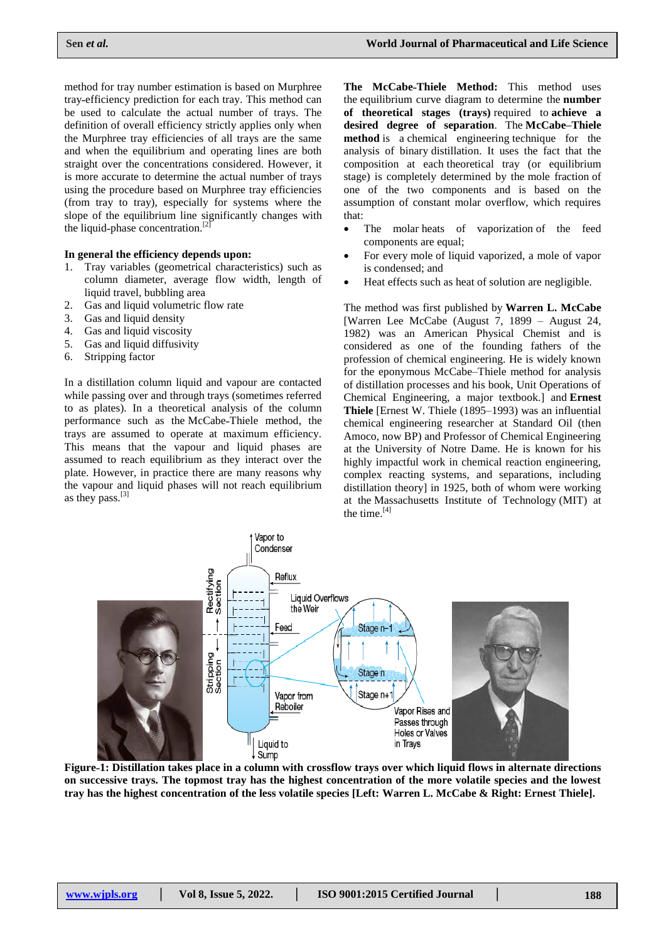method for tray number estimation is based on Murphree tray˗efficiency prediction for each tray. This method can be used to calculate the actual number of trays. The definition of overall efficiency strictly applies only when the Murphree tray efficiencies of all trays are the same and when the equilibrium and operating lines are both straight over the concentrations considered. However, it is more accurate to determine the actual number of trays using the procedure based on Murphree tray efficiencies (from tray to tray), especially for systems where the slope of the equilibrium line significantly changes with the liquid-phase concentration.<sup>[2]</sup>

#### **In general the efficiency depends upon:**

- 1. Tray variables (geometrical characteristics) such as column diameter, average flow width, length of liquid travel, bubbling area
- 2. Gas and liquid volumetric flow rate
- 3. Gas and liquid density
- 4. Gas and liquid viscosity
- 5. Gas and liquid diffusivity
- 6. Stripping factor

In a distillation column liquid and vapour are contacted while passing over and through trays (sometimes referred to as plates). In a theoretical analysis of the column performance such as the McCabe-Thiele method, the trays are assumed to operate at maximum efficiency. This means that the vapour and liquid phases are assumed to reach equilibrium as they interact over the plate. However, in practice there are many reasons why the vapour and liquid phases will not reach equilibrium as they pass. $^{[3]}$ 

**The McCabe˗Thiele Method:** This method uses the equilibrium curve diagram to determine the **number of theoretical stages (trays)** required to **achieve a desired degree of separation**. The **McCabe–Thiele method** is a chemical engineering technique for the analysis of binary distillation. It uses the fact that the composition at each theoretical tray (or equilibrium stage) is completely determined by the mole fraction of one of the two components and is based on the assumption of constant molar overflow, which requires that:

- The molar heats of vaporization of the feed components are equal;
- For every mole of liquid vaporized, a mole of vapor is condensed; and
- Heat effects such as heat of solution are negligible.

The method was first published by **Warren L. McCabe** [Warren Lee McCabe (August 7, 1899 – August 24, 1982) was an American Physical Chemist and is considered as one of the founding fathers of the profession of chemical engineering. He is widely known for the eponymous McCabe–Thiele method for analysis of distillation processes and his book, Unit Operations of Chemical Engineering, a major textbook.] and **Ernest Thiele** [Ernest W. Thiele (1895–1993) was an influential chemical engineering researcher at Standard Oil (then Amoco, now BP) and Professor of Chemical Engineering at the University of Notre Dame. He is known for his highly impactful work in chemical reaction engineering, complex reacting systems, and separations, including distillation theory] in 1925, both of whom were working at the Massachusetts Institute of Technology (MIT) at the time.<sup>[4]</sup>



**Figure˗1: Distillation takes place in a column with crossflow trays over which liquid flows in alternate directions on successive trays. The topmost tray has the highest concentration of the more volatile species and the lowest tray has the highest concentration of the less volatile species [Left: Warren L. McCabe & Right: Ernest Thiele].**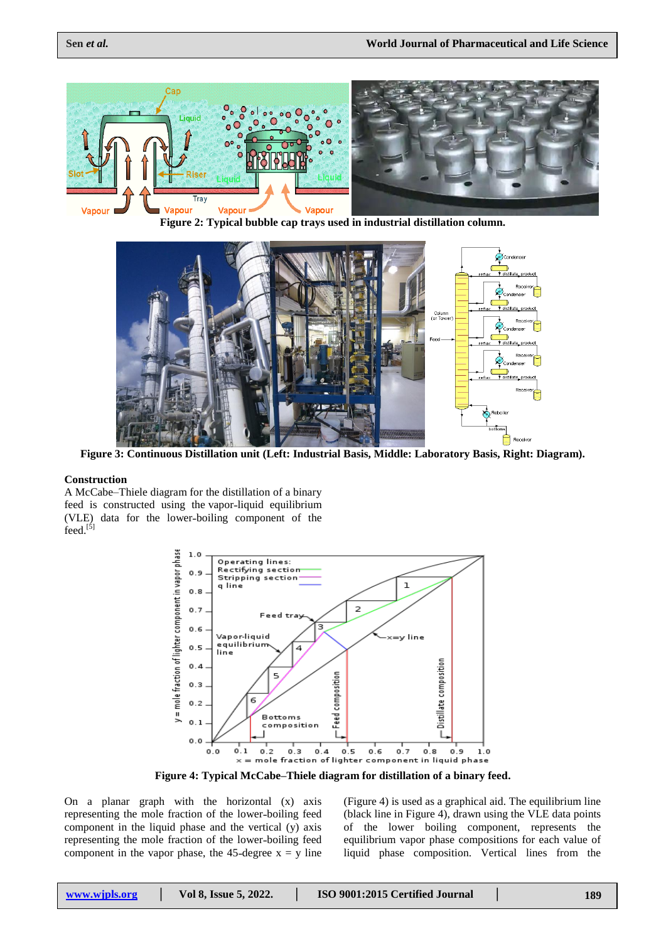

**Figure 2: Typical bubble cap trays used in industrial distillation column.**



**Figure 3: Continuous Distillation unit (Left: Industrial Basis, Middle: Laboratory Basis, Right: Diagram).**

#### **Construction**

A McCabe–Thiele diagram for the distillation of a binary feed is constructed using the vapor-liquid equilibrium (VLE) data for the lower-boiling component of the  $feed.^{[5]}$ 



**Figure 4: Typical McCabe–Thiele diagram for distillation of a binary feed.**

On a planar graph with the horizontal (x) axis representing the mole fraction of the lower-boiling feed component in the liquid phase and the vertical (y) axis representing the mole fraction of the lower-boiling feed component in the vapor phase, the 45-degree  $x = y$  line (Figure 4) is used as a graphical aid. The equilibrium line (black line in Figure 4), drawn using the VLE data points of the lower boiling component, represents the equilibrium vapor phase compositions for each value of liquid phase composition. Vertical lines from the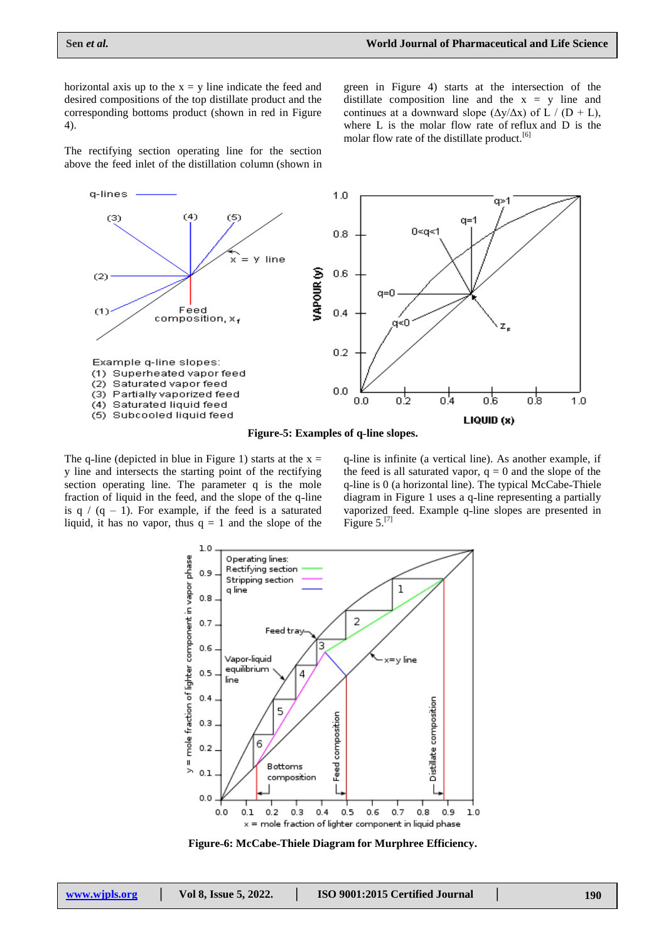horizontal axis up to the  $x = y$  line indicate the feed and desired compositions of the top distillate product and the corresponding bottoms product (shown in red in Figure 4).

green in Figure 4) starts at the intersection of the distillate composition line and the  $x = y$  line and continues at a downward slope  $(\Delta y/\Delta x)$  of L / (D + L), where L is the molar flow rate of reflux and D is the molar flow rate of the distillate product.<sup>[6]</sup>

The rectifying section operating line for the section above the feed inlet of the distillation column (shown in



Figure-5: Examples of q-line slopes.

The q-line (depicted in blue in Figure 1) starts at the  $x =$ y line and intersects the starting point of the rectifying section operating line. The parameter q is the mole fraction of liquid in the feed, and the slope of the q-line is  $q / (q - 1)$ . For example, if the feed is a saturated liquid, it has no vapor, thus  $q = 1$  and the slope of the q-line is infinite (a vertical line). As another example, if the feed is all saturated vapor,  $q = 0$  and the slope of the q-line is 0 (a horizontal line). The typical McCabe-Thiele diagram in Figure 1 uses a q-line representing a partially vaporized feed. Example q-line slopes are presented in Figure  $5.^{[7]}$ 



**Figure˗6: McCabe˗Thiele Diagram for Murphree Efficiency.**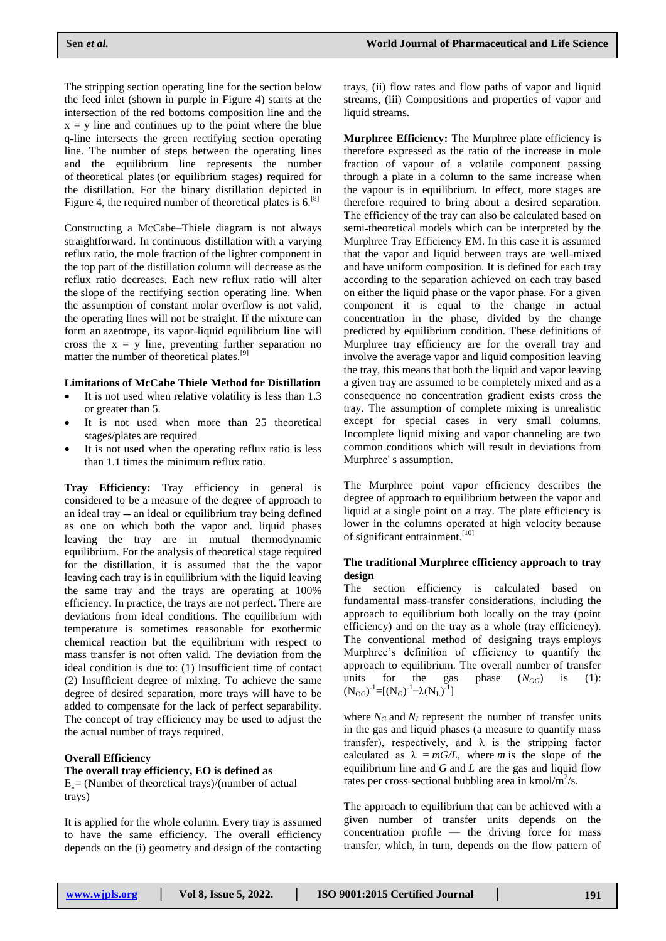The stripping section operating line for the section below the feed inlet (shown in purple in Figure 4) starts at the intersection of the red bottoms composition line and the  $x = y$  line and continues up to the point where the blue q-line intersects the green rectifying section operating line. The number of steps between the operating lines and the equilibrium line represents the number of theoretical plates (or equilibrium stages) required for the distillation. For the binary distillation depicted in Figure 4, the required number of theoretical plates is  $6^{8}$ .

Constructing a McCabe–Thiele diagram is not always straightforward. In continuous distillation with a varying reflux ratio, the mole fraction of the lighter component in the top part of the distillation column will decrease as the reflux ratio decreases. Each new reflux ratio will alter the slope of the rectifying section operating line. When the assumption of constant molar overflow is not valid, the operating lines will not be straight. If the mixture can form an azeotrope, its vapor-liquid equilibrium line will cross the  $x = y$  line, preventing further separation no matter the number of theoretical plates.[9]

#### **Limitations of McCabe Thiele Method for Distillation**

- It is not used when relative volatility is less than 1.3 or greater than 5.
- It is not used when more than 25 theoretical stages/plates are required
- It is not used when the operating reflux ratio is less than 1.1 times the minimum reflux ratio.

**Tray Efficiency:** Tray efficiency in general is considered to be a measure of the degree of approach to an ideal tray - an ideal or equilibrium tray being defined as one on which both the vapor and. liquid phases leaving the tray are in mutual thermodynamic equilibrium. For the analysis of theoretical stage required for the distillation, it is assumed that the the vapor leaving each tray is in equilibrium with the liquid leaving the same tray and the trays are operating at 100% efficiency. In practice, the trays are not perfect. There are deviations from ideal conditions. The equilibrium with temperature is sometimes reasonable for exothermic chemical reaction but the equilibrium with respect to mass transfer is not often valid. The deviation from the ideal condition is due to: (1) Insufficient time of contact (2) Insufficient degree of mixing. To achieve the same degree of desired separation, more trays will have to be added to compensate for the lack of perfect separability. The concept of tray efficiency may be used to adjust the the actual number of trays required.

#### **Overall Efficiency**

#### **The overall tray efficiency, EO is defined as**

 $E = (Number of theoretical trays)/(number of actual)$ trays)

It is applied for the whole column. Every tray is assumed to have the same efficiency. The overall efficiency depends on the (i) geometry and design of the contacting trays, (ii) flow rates and flow paths of vapor and liquid streams, (iii) Compositions and properties of vapor and liquid streams.

**Murphree Efficiency:** The Murphree plate efficiency is therefore expressed as the ratio of the increase in mole fraction of vapour of a volatile component passing through a plate in a column to the same increase when the vapour is in equilibrium. In effect, more stages are therefore required to bring about a desired separation. The efficiency of the tray can also be calculated based on semi-theoretical models which can be interpreted by the Murphree Tray Efficiency EM. In this case it is assumed that the vapor and liquid between trays are well-mixed and have uniform composition. It is defined for each tray according to the separation achieved on each tray based on either the liquid phase or the vapor phase. For a given component it is equal to the change in actual concentration in the phase, divided by the change predicted by equilibrium condition. These definitions of Murphree tray efficiency are for the overall tray and involve the average vapor and liquid composition leaving the tray, this means that both the liquid and vapor leaving a given tray are assumed to be completely mixed and as a consequence no concentration gradient exists cross the tray. The assumption of complete mixing is unrealistic except for special cases in very small columns. Incomplete liquid mixing and vapor channeling are two common conditions which will result in deviations from Murphree' s assumption.

The Murphree point vapor efficiency describes the degree of approach to equilibrium between the vapor and liquid at a single point on a tray. The plate efficiency is lower in the columns operated at high velocity because of significant entrainment.<sup>[10]</sup>

#### **The traditional Murphree efficiency approach to tray design**

The section efficiency is calculated based on fundamental mass-transfer considerations, including the approach to equilibrium both locally on the tray (point efficiency) and on the tray as a whole (tray efficiency). The conventional method of designing trays employs Murphree's definition of efficiency to quantify the approach to equilibrium. The overall number of transfer units for the gas phase  $(N_{OG})$  is (1):  $(N_{OG})^{-1}=[(N_G)^{-1}+\lambda(N_L)^{-1}]$ 

where  $N_G$  and  $N_L$  represent the number of transfer units in the gas and liquid phases (a measure to quantify mass transfer), respectively, and  $\lambda$  is the stripping factor calculated as  $\lambda = mG/L$ , where *m* is the slope of the equilibrium line and *G* and *L* are the gas and liquid flow rates per cross-sectional bubbling area in kmol/ $\hat{m}^2$ /s.

The approach to equilibrium that can be achieved with a given number of transfer units depends on the concentration profile — the driving force for mass transfer, which, in turn, depends on the flow pattern of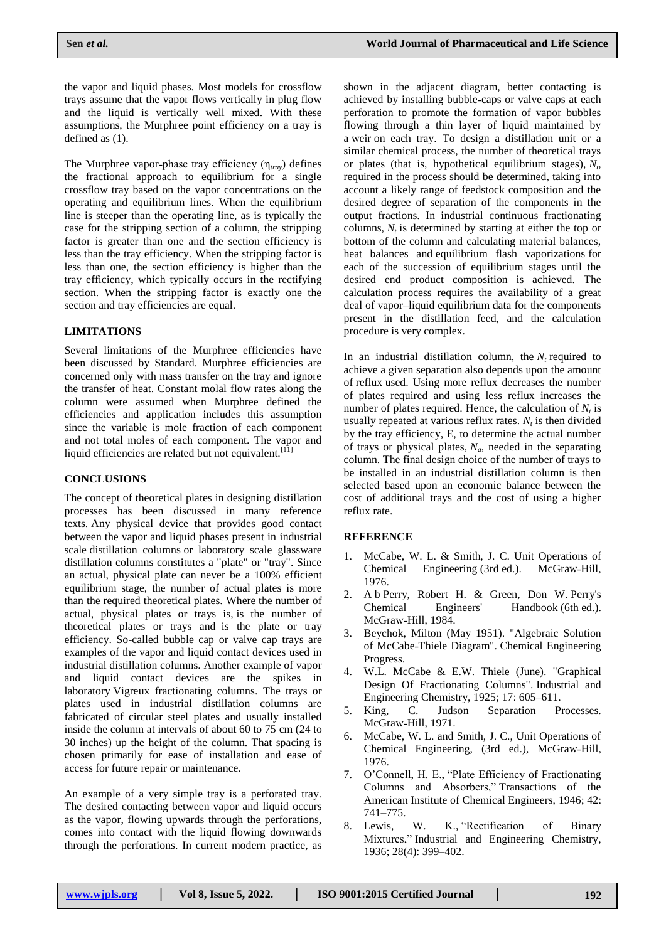the vapor and liquid phases. Most models for crossflow trays assume that the vapor flows vertically in plug flow and the liquid is vertically well mixed. With these assumptions, the Murphree point efficiency on a tray is defined as (1).

The Murphree vapor˗phase tray efficiency (η*tray*) defines the fractional approach to equilibrium for a single crossflow tray based on the vapor concentrations on the operating and equilibrium lines. When the equilibrium line is steeper than the operating line, as is typically the case for the stripping section of a column, the stripping factor is greater than one and the section efficiency is less than the tray efficiency. When the stripping factor is less than one, the section efficiency is higher than the tray efficiency, which typically occurs in the rectifying section. When the stripping factor is exactly one the section and tray efficiencies are equal.

## **LIMITATIONS**

Several limitations of the Murphree efficiencies have been discussed by Standard. Murphree efficiencies are concerned only with mass transfer on the tray and ignore the transfer of heat. Constant molal flow rates along the column were assumed when Murphree defined the efficiencies and application includes this assumption since the variable is mole fraction of each component and not total moles of each component. The vapor and liquid efficiencies are related but not equivalent.<sup>[11]</sup>

#### **CONCLUSIONS**

The concept of theoretical plates in designing distillation processes has been discussed in many reference texts. Any physical device that provides good contact between the vapor and liquid phases present in industrial scale distillation columns or laboratory scale glassware distillation columns constitutes a "plate" or "tray". Since an actual, physical plate can never be a 100% efficient equilibrium stage, the number of actual plates is more than the required theoretical plates. Where the number of actual, physical plates or trays is, is the number of theoretical plates or trays and is the plate or tray efficiency. So-called bubble cap or valve cap trays are examples of the vapor and liquid contact devices used in industrial distillation columns. Another example of vapor and liquid contact devices are the spikes in laboratory Vigreux fractionating columns. The trays or plates used in industrial distillation columns are fabricated of circular steel plates and usually installed inside the column at intervals of about 60 to 75 cm (24 to 30 inches) up the height of the column. That spacing is chosen primarily for ease of installation and ease of access for future repair or maintenance.

An example of a very simple tray is a perforated tray. The desired contacting between vapor and liquid occurs as the vapor, flowing upwards through the perforations, comes into contact with the liquid flowing downwards through the perforations. In current modern practice, as

shown in the adjacent diagram, better contacting is achieved by installing bubble-caps or valve caps at each perforation to promote the formation of vapor bubbles flowing through a thin layer of liquid maintained by a weir on each tray. To design a distillation unit or a similar chemical process, the number of theoretical trays or plates (that is, hypothetical equilibrium stages), *N<sup>t</sup>* , required in the process should be determined, taking into account a likely range of feedstock composition and the desired degree of separation of the components in the output fractions. In industrial continuous fractionating columns,  $N_t$  is determined by starting at either the top or bottom of the column and calculating material balances, heat balances and equilibrium flash vaporizations for each of the succession of equilibrium stages until the desired end product composition is achieved. The calculation process requires the availability of a great deal of vapor–liquid equilibrium data for the components present in the distillation feed, and the calculation procedure is very complex.

In an industrial distillation column, the  $N_t$  required to achieve a given separation also depends upon the amount of reflux used. Using more reflux decreases the number of plates required and using less reflux increases the number of plates required. Hence, the calculation of  $N_t$  is usually repeated at various reflux rates.  $N_t$  is then divided by the tray efficiency, E, to determine the actual number of trays or physical plates, *Na*, needed in the separating column. The final design choice of the number of trays to be installed in an industrial distillation column is then selected based upon an economic balance between the cost of additional trays and the cost of using a higher reflux rate.

#### **REFERENCE**

- 1. McCabe, W. L. & Smith, J. C. Unit Operations of Chemical Engineering (3rd ed.). McGraw-Hill, 1976.
- 2. [A](https://en.m.wikipedia.org/wiki/McCabe%E2%80%93Thiele_method#cite_ref-Perry_2-0) [b](https://en.m.wikipedia.org/wiki/McCabe%E2%80%93Thiele_method#cite_ref-Perry_2-1) Perry, Robert H. & Green, Don W. Perry's Chemical Engineers' Handbook (6th ed.). McGraw-Hill, 1984.
- 3. Beychok, Milton (May 1951). "Algebraic Solution of McCabe˗Thiele Diagram". Chemical Engineering Progress.
- 4. W.L. McCabe & E.W. Thiele (June). "Graphical Design Of Fractionating Columns". Industrial and Engineering Chemistry, 1925; 17: 605–611.
- 5. King, C. Judson Separation Processes. McGraw-Hill, 1971.
- 6. McCabe, W. L. and Smith, J. C., Unit Operations of Chemical Engineering, (3rd ed.), McGraw-Hill, 1976.
- 7. O'Connell, H. E., "Plate Efficiency of Fractionating Columns and Absorbers," Transactions of the American Institute of Chemical Engineers, 1946; 42: 741–775.
- 8. Lewis, W. K., "Rectification of Binary Mixtures," Industrial and Engineering Chemistry, 1936; 28(4): 399–402.